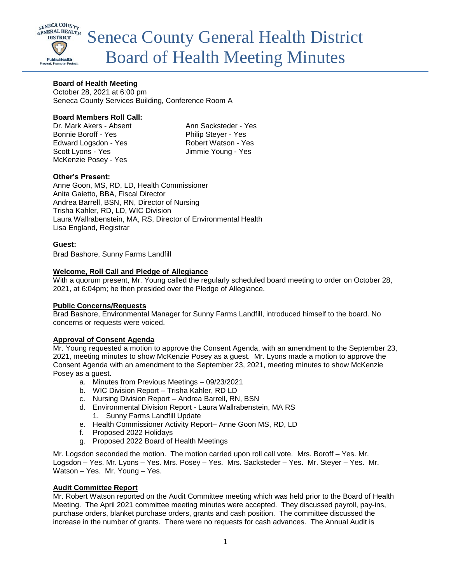

# **Board of Health Meeting**

October 28, 2021 at 6:00 pm Seneca County Services Building, Conference Room A

### **Board Members Roll Call:**

Dr. Mark Akers - Absent Ann Sacksteder - Yes Bonnie Boroff - Yes Philip Steyer - Yes Edward Logsdon - Yes Robert Watson - Yes Scott Lyons - Yes Jimmie Young - Yes McKenzie Posey - Yes

### **Other's Present:**

Anne Goon, MS, RD, LD, Health Commissioner Anita Gaietto, BBA, Fiscal Director Andrea Barrell, BSN, RN, Director of Nursing Trisha Kahler, RD, LD, WIC Division Laura Wallrabenstein, MA, RS, Director of Environmental Health Lisa England, Registrar

#### **Guest:**

Brad Bashore, Sunny Farms Landfill

#### **Welcome, Roll Call and Pledge of Allegiance**

With a quorum present, Mr. Young called the regularly scheduled board meeting to order on October 28, 2021, at 6:04pm; he then presided over the Pledge of Allegiance.

#### **Public Concerns/Requests**

Brad Bashore, Environmental Manager for Sunny Farms Landfill, introduced himself to the board. No concerns or requests were voiced.

#### **Approval of Consent Agenda**

Mr. Young requested a motion to approve the Consent Agenda, with an amendment to the September 23, 2021, meeting minutes to show McKenzie Posey as a guest. Mr. Lyons made a motion to approve the Consent Agenda with an amendment to the September 23, 2021, meeting minutes to show McKenzie Posey as a guest.

- a. Minutes from Previous Meetings 09/23/2021
- b. WIC Division Report Trisha Kahler, RD LD
- c. Nursing Division Report Andrea Barrell, RN, BSN
- d. Environmental Division Report Laura Wallrabenstein, MA RS 1. Sunny Farms Landfill Update
- e. Health Commissioner Activity Report– Anne Goon MS, RD, LD
- f. Proposed 2022 Holidays
- g. Proposed 2022 Board of Health Meetings

Mr. Logsdon seconded the motion. The motion carried upon roll call vote. Mrs. Boroff – Yes. Mr. Logsdon – Yes. Mr. Lyons – Yes. Mrs. Posey – Yes. Mrs. Sacksteder – Yes. Mr. Steyer – Yes. Mr. Watson – Yes. Mr. Young – Yes.

# **Audit Committee Report**

Mr. Robert Watson reported on the Audit Committee meeting which was held prior to the Board of Health Meeting. The April 2021 committee meeting minutes were accepted. They discussed payroll, pay-ins, purchase orders, blanket purchase orders, grants and cash position. The committee discussed the increase in the number of grants. There were no requests for cash advances. The Annual Audit is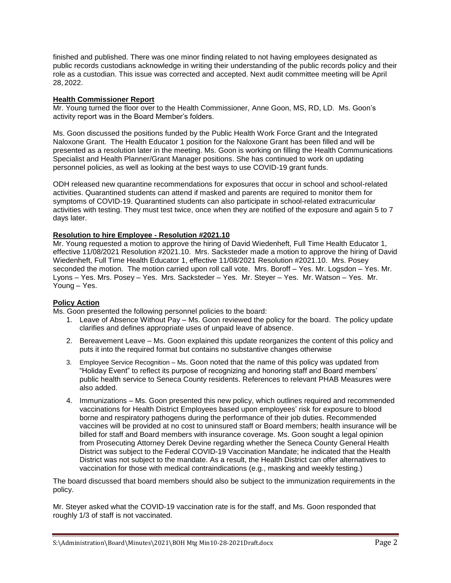finished and published. There was one minor finding related to not having employees designated as public records custodians acknowledge in writing their understanding of the public records policy and their role as a custodian. This issue was corrected and accepted. Next audit committee meeting will be April 28, 2022.

### **Health Commissioner Report**

Mr. Young turned the floor over to the Health Commissioner, Anne Goon, MS, RD, LD. Ms. Goon's activity report was in the Board Member's folders.

Ms. Goon discussed the positions funded by the Public Health Work Force Grant and the Integrated Naloxone Grant. The Health Educator 1 position for the Naloxone Grant has been filled and will be presented as a resolution later in the meeting. Ms. Goon is working on filling the Health Communications Specialist and Health Planner/Grant Manager positions. She has continued to work on updating personnel policies, as well as looking at the best ways to use COVID-19 grant funds.

ODH released new quarantine recommendations for exposures that occur in school and school-related activities. Quarantined students can attend if masked and parents are required to monitor them for symptoms of COVID-19. Quarantined students can also participate in school-related extracurricular activities with testing. They must test twice, once when they are notified of the exposure and again 5 to 7 days later.

### **Resolution to hire Employee - Resolution #2021.10**

Mr. Young requested a motion to approve the hiring of David Wiedenheft, Full Time Health Educator 1, effective 11/08/2021 Resolution #2021.10. Mrs. Sacksteder made a motion to approve the hiring of David Wiedenheft, Full Time Health Educator 1, effective 11/08/2021 Resolution #2021.10. Mrs. Posey seconded the motion. The motion carried upon roll call vote. Mrs. Boroff – Yes. Mr. Logsdon – Yes. Mr. Lyons – Yes. Mrs. Posey – Yes. Mrs. Sacksteder – Yes. Mr. Steyer – Yes. Mr. Watson – Yes. Mr. Young – Yes.

#### **Policy Action**

Ms. Goon presented the following personnel policies to the board:

- 1. Leave of Absence Without Pay Ms. Goon reviewed the policy for the board. The policy update clarifies and defines appropriate uses of unpaid leave of absence.
- 2. Bereavement Leave Ms. Goon explained this update reorganizes the content of this policy and puts it into the required format but contains no substantive changes otherwise
- 3. Employee Service Recognition Ms. Goon noted that the name of this policy was updated from "Holiday Event" to reflect its purpose of recognizing and honoring staff and Board members' public health service to Seneca County residents. References to relevant PHAB Measures were also added.
- 4. Immunizations Ms. Goon presented this new policy, which outlines required and recommended vaccinations for Health District Employees based upon employees' risk for exposure to blood borne and respiratory pathogens during the performance of their job duties. Recommended vaccines will be provided at no cost to uninsured staff or Board members; health insurance will be billed for staff and Board members with insurance coverage. Ms. Goon sought a legal opinion from Prosecuting Attorney Derek Devine regarding whether the Seneca County General Health District was subject to the Federal COVID-19 Vaccination Mandate; he indicated that the Health District was not subject to the mandate. As a result, the Health District can offer alternatives to vaccination for those with medical contraindications (e.g., masking and weekly testing.)

The board discussed that board members should also be subject to the immunization requirements in the policy.

Mr. Steyer asked what the COVID-19 vaccination rate is for the staff, and Ms. Goon responded that roughly 1/3 of staff is not vaccinated.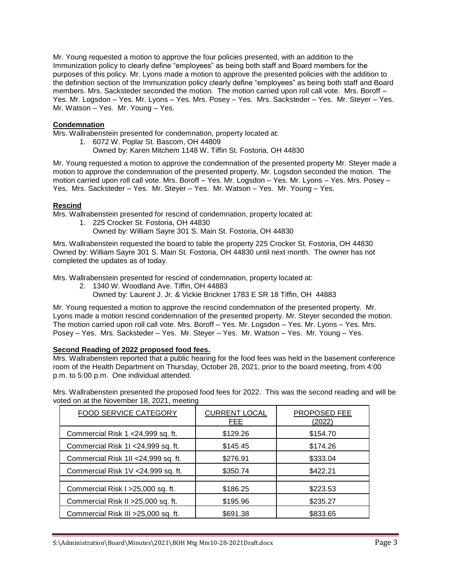Mr. Young requested a motion to approve the four policies presented, with an addition to the Immunization policy to clearly define "employees" as being both staff and Board members for the purposes of this policy. Mr. Lyons made a motion to approve the presented policies with the addition to the definition section of the Immunization policy clearly define "employees" as being both staff and Board members. Mrs. Sacksteder seconded the motion. The motion carried upon roll call vote. Mrs. Boroff – Yes. Mr. Logsdon – Yes. Mr. Lyons – Yes. Mrs. Posey – Yes. Mrs. Sacksteder – Yes. Mr. Steyer – Yes. Mr. Watson – Yes. Mr. Young – Yes.

# **Condemnation**

Mrs. Wallrabenstein presented for condemnation, property located at:

1. 6072 W. Poplar St. Bascom, OH 44809 Owned by: Karen Mitchem 1148 W. Tiffin St. Fostoria, OH 44830

Mr. Young requested a motion to approve the condemnation of the presented property Mr. Steyer made a motion to approve the condemnation of the presented property. Mr. Logsdon seconded the motion. The motion carried upon roll call vote. Mrs. Boroff – Yes. Mr. Logsdon – Yes. Mr. Lyons – Yes. Mrs. Posey – Yes. Mrs. Sacksteder – Yes. Mr. Steyer – Yes. Mr. Watson – Yes. Mr. Young – Yes.

### **Rescind**

Mrs. Wallrabenstein presented for rescind of condemnation, property located at:

- 1. 225 Crocker St. Fostoria, OH 44830
	- Owned by: William Sayre 301 S. Main St. Fostoria, OH 44830

Mrs. Wallrabenstein requested the board to table the property 225 Crocker St. Fostoria, OH 44830 Owned by: William Sayre 301 S. Main St. Fostoria, OH 44830 until next month. The owner has not completed the updates as of today.

Mrs. Wallrabenstein presented for rescind of condemnation, property located at:

- 2. 1340 W. Woodland Ave. Tiffin, OH 44883
	- Owned by: Laurent J. Jr. & Vickie Brickner 1783 E SR 18 Tiffin, OH 44883

Mr. Young requested a motion to approve the rescind condemnation of the presented property. Mr. Lyons made a motion rescind condemnation of the presented property. Mr. Steyer seconded the motion. The motion carried upon roll call vote. Mrs. Boroff – Yes. Mr. Logsdon – Yes. Mr. Lyons – Yes. Mrs. Posey – Yes. Mrs. Sacksteder – Yes. Mr. Steyer – Yes. Mr. Watson – Yes. Mr. Young – Yes.

#### **Second Reading of 2022 proposed food fees.**

Mrs. Wallrabenstein reported that a public hearing for the food fees was held in the basement conference room of the Health Department on Thursday, October 28, 2021, prior to the board meeting, from 4:00 p.m. to 5:00 p.m. One individual attended.

Mrs. Wallrabenstein presented the proposed food fees for 2022. This was the second reading and will be voted on at the November 18, 2021, meeting

| <b>FOOD SERVICE CATEGORY</b>         | <b>CURRENT LOCAL</b><br>FEE | PROPOSED FEE<br>(2022) |
|--------------------------------------|-----------------------------|------------------------|
| Commercial Risk 1 < 24,999 sq. ft.   | \$129.26                    | \$154.70               |
| Commercial Risk 1I <24,999 sq. ft.   | \$145.45                    | \$174.26               |
| Commercial Risk 1II <24,999 sq. ft.  | \$276.91                    | \$333.04               |
| Commercial Risk 1V <24,999 sq. ft.   | \$350.74                    | \$422.21               |
|                                      |                             |                        |
| Commercial Risk I > 25,000 sq. ft.   | \$186.25                    | \$223.53               |
| Commercial Risk II > 25,000 sq. ft.  | \$195.96                    | \$235.27               |
| Commercial Risk III > 25,000 sq. ft. | \$691.38                    | \$833.65               |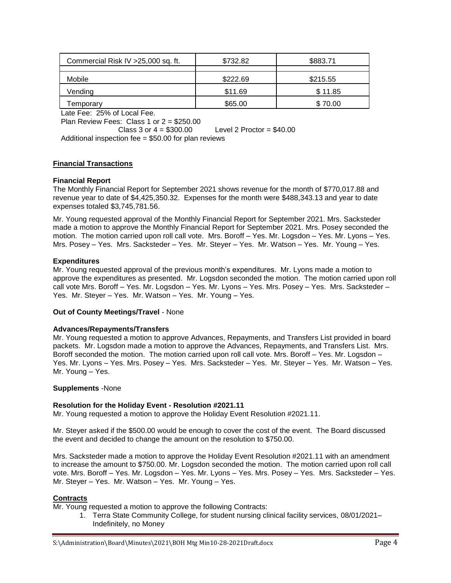| Commercial Risk IV > 25,000 sq. ft. | \$732.82 | \$883.71 |
|-------------------------------------|----------|----------|
| <b>Mobile</b>                       | \$222.69 | \$215.55 |
| Vending                             | \$11.69  | \$11.85  |
| emporary                            | \$65.00  | \$70.00  |

Late Fee: 25% of Local Fee.

Plan Review Fees: Class 1 or 2 = \$250.00

Class 3 or  $4 = $300.00$  Level 2 Proctor =  $$40.00$ Additional inspection fee = \$50.00 for plan reviews

# **Financial Transactions**

### **Financial Report**

The Monthly Financial Report for September 2021 shows revenue for the month of \$770,017.88 and revenue year to date of \$4,425,350.32. Expenses for the month were \$488,343.13 and year to date expenses totaled \$3,745,781.56.

Mr. Young requested approval of the Monthly Financial Report for September 2021. Mrs. Sacksteder made a motion to approve the Monthly Financial Report for September 2021. Mrs. Posey seconded the motion. The motion carried upon roll call vote. Mrs. Boroff – Yes. Mr. Logsdon – Yes. Mr. Lyons – Yes. Mrs. Posey – Yes. Mrs. Sacksteder – Yes. Mr. Steyer – Yes. Mr. Watson – Yes. Mr. Young – Yes.

### **Expenditures**

Mr. Young requested approval of the previous month's expenditures. Mr. Lyons made a motion to approve the expenditures as presented. Mr. Logsdon seconded the motion. The motion carried upon roll call vote Mrs. Boroff – Yes. Mr. Logsdon – Yes. Mr. Lyons – Yes. Mrs. Posey – Yes. Mrs. Sacksteder – Yes. Mr. Steyer – Yes. Mr. Watson – Yes. Mr. Young – Yes.

#### **Out of County Meetings/Travel** - None

#### **Advances/Repayments/Transfers**

Mr. Young requested a motion to approve Advances, Repayments, and Transfers List provided in board packets. Mr. Logsdon made a motion to approve the Advances, Repayments, and Transfers List. Mrs. Boroff seconded the motion. The motion carried upon roll call vote. Mrs. Boroff – Yes. Mr. Logsdon – Yes. Mr. Lyons – Yes. Mrs. Posey – Yes. Mrs. Sacksteder – Yes. Mr. Steyer – Yes. Mr. Watson – Yes. Mr. Young – Yes.

#### **Supplements** -None

# **Resolution for the Holiday Event - Resolution #2021.11**

Mr. Young requested a motion to approve the Holiday Event Resolution #2021.11.

Mr. Steyer asked if the \$500.00 would be enough to cover the cost of the event. The Board discussed the event and decided to change the amount on the resolution to \$750.00.

Mrs. Sacksteder made a motion to approve the Holiday Event Resolution #2021.11 with an amendment to increase the amount to \$750.00. Mr. Logsdon seconded the motion. The motion carried upon roll call vote. Mrs. Boroff – Yes. Mr. Logsdon – Yes. Mr. Lyons – Yes. Mrs. Posey – Yes. Mrs. Sacksteder – Yes. Mr. Steyer – Yes. Mr. Watson – Yes. Mr. Young – Yes.

#### **Contracts**

Mr. Young requested a motion to approve the following Contracts:

1. Terra State Community College, for student nursing clinical facility services, 08/01/2021– Indefinitely, no Money